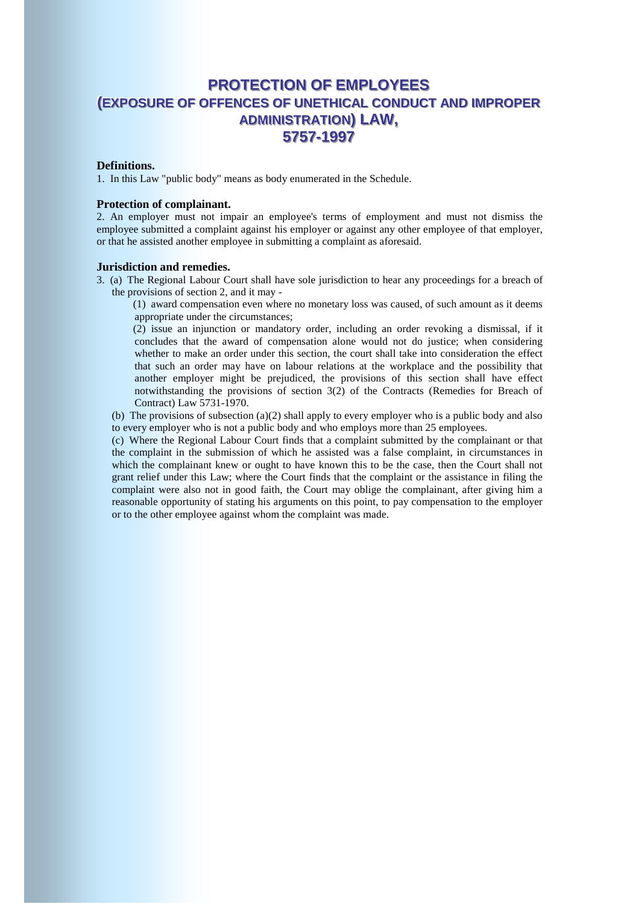# **PROTECTION OF EMPLOYEES (EXPOSURE OF OFFENCES OF UNETHICAL CONDUCT AND IMPROPER ADMINISTRATION) LAW, 55775577--11999977**

#### **Definitions.**

1. In this Law "public body" means as body enumerated in the Schedule.

### **Protection of complainant.**

2. An employer must not impair an employee's terms of employment and must not dismiss the employee submitted a complaint against his employer or against any other employee of that employer, or that he assisted another employee in submitting a complaint as aforesaid.

#### **Jurisdiction and remedies.**

3. (a) The Regional Labour Court shall have sole jurisdiction to hear any proceedings for a breach of the provisions of section 2, and it may -

 (1) award compensation even where no monetary loss was caused, of such amount as it deems appropriate under the circumstances;

 (2) issue an injunction or mandatory order, including an order revoking a dismissal, if it concludes that the award of compensation alone would not do justice; when considering whether to make an order under this section, the court shall take into consideration the effect that such an order may have on labour relations at the workplace and the possibility that another employer might be prejudiced, the provisions of this section shall have effect notwithstanding the provisions of section 3(2) of the Contracts (Remedies for Breach of Contract) Law 5731-1970.

(b) The provisions of subsection (a)(2) shall apply to every employer who is a public body and also to every employer who is not a public body and who employs more than 25 employees.

 (c) Where the Regional Labour Court finds that a complaint submitted by the complainant or that the complaint in the submission of which he assisted was a false complaint, in circumstances in which the complainant knew or ought to have known this to be the case, then the Court shall not grant relief under this Law; where the Court finds that the complaint or the assistance in filing the complaint were also not in good faith, the Court may oblige the complainant, after giving him a reasonable opportunity of stating his arguments on this point, to pay compensation to the employer or to the other employee against whom the complaint was made.